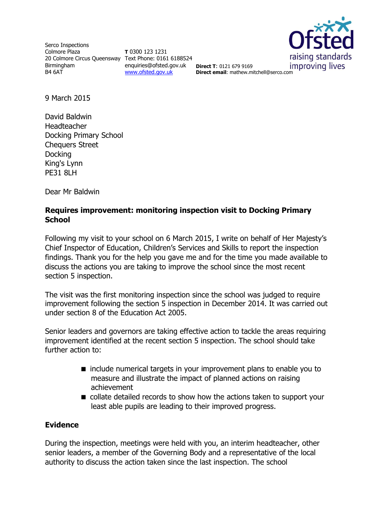Serco Inspections Colmore Plaza 20 Colmore Circus Queensway Text Phone: 0161 6188524 Birmingham B4 6AT

**T** 0300 123 1231 enquiries@ofsted.gov.uk **Direct T**: 0121 679 9169 [www.ofsted.gov.uk](http://www.ofsted.gov.uk/)



**Direct email**: mathew.mitchell@serco.com

9 March 2015

David Baldwin Headteacher Docking Primary School Chequers Street Docking King's Lynn PE31 8LH

Dear Mr Baldwin

## **Requires improvement: monitoring inspection visit to Docking Primary School**

Following my visit to your school on 6 March 2015, I write on behalf of Her Majesty's Chief Inspector of Education, Children's Services and Skills to report the inspection findings. Thank you for the help you gave me and for the time you made available to discuss the actions you are taking to improve the school since the most recent section 5 inspection.

The visit was the first monitoring inspection since the school was judged to require improvement following the section 5 inspection in December 2014. It was carried out under section 8 of the Education Act 2005.

Senior leaders and governors are taking effective action to tackle the areas requiring improvement identified at the recent section 5 inspection. The school should take further action to:

- $\blacksquare$  include numerical targets in your improvement plans to enable you to measure and illustrate the impact of planned actions on raising achievement
- collate detailed records to show how the actions taken to support your least able pupils are leading to their improved progress.

### **Evidence**

During the inspection, meetings were held with you, an interim headteacher, other senior leaders, a member of the Governing Body and a representative of the local authority to discuss the action taken since the last inspection. The school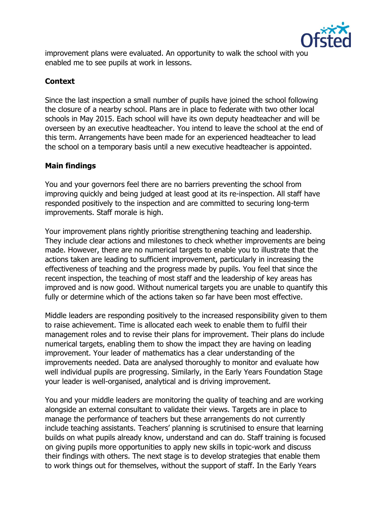

improvement plans were evaluated. An opportunity to walk the school with you enabled me to see pupils at work in lessons.

# **Context**

Since the last inspection a small number of pupils have joined the school following the closure of a nearby school. Plans are in place to federate with two other local schools in May 2015. Each school will have its own deputy headteacher and will be overseen by an executive headteacher. You intend to leave the school at the end of this term. Arrangements have been made for an experienced headteacher to lead the school on a temporary basis until a new executive headteacher is appointed.

# **Main findings**

You and your governors feel there are no barriers preventing the school from improving quickly and being judged at least good at its re-inspection. All staff have responded positively to the inspection and are committed to securing long-term improvements. Staff morale is high.

Your improvement plans rightly prioritise strengthening teaching and leadership. They include clear actions and milestones to check whether improvements are being made. However, there are no numerical targets to enable you to illustrate that the actions taken are leading to sufficient improvement, particularly in increasing the effectiveness of teaching and the progress made by pupils. You feel that since the recent inspection, the teaching of most staff and the leadership of key areas has improved and is now good. Without numerical targets you are unable to quantify this fully or determine which of the actions taken so far have been most effective.

Middle leaders are responding positively to the increased responsibility given to them to raise achievement. Time is allocated each week to enable them to fulfil their management roles and to revise their plans for improvement. Their plans do include numerical targets, enabling them to show the impact they are having on leading improvement. Your leader of mathematics has a clear understanding of the improvements needed. Data are analysed thoroughly to monitor and evaluate how well individual pupils are progressing. Similarly, in the Early Years Foundation Stage your leader is well-organised, analytical and is driving improvement.

You and your middle leaders are monitoring the quality of teaching and are working alongside an external consultant to validate their views. Targets are in place to manage the performance of teachers but these arrangements do not currently include teaching assistants. Teachers' planning is scrutinised to ensure that learning builds on what pupils already know, understand and can do. Staff training is focused on giving pupils more opportunities to apply new skills in topic-work and discuss their findings with others. The next stage is to develop strategies that enable them to work things out for themselves, without the support of staff. In the Early Years